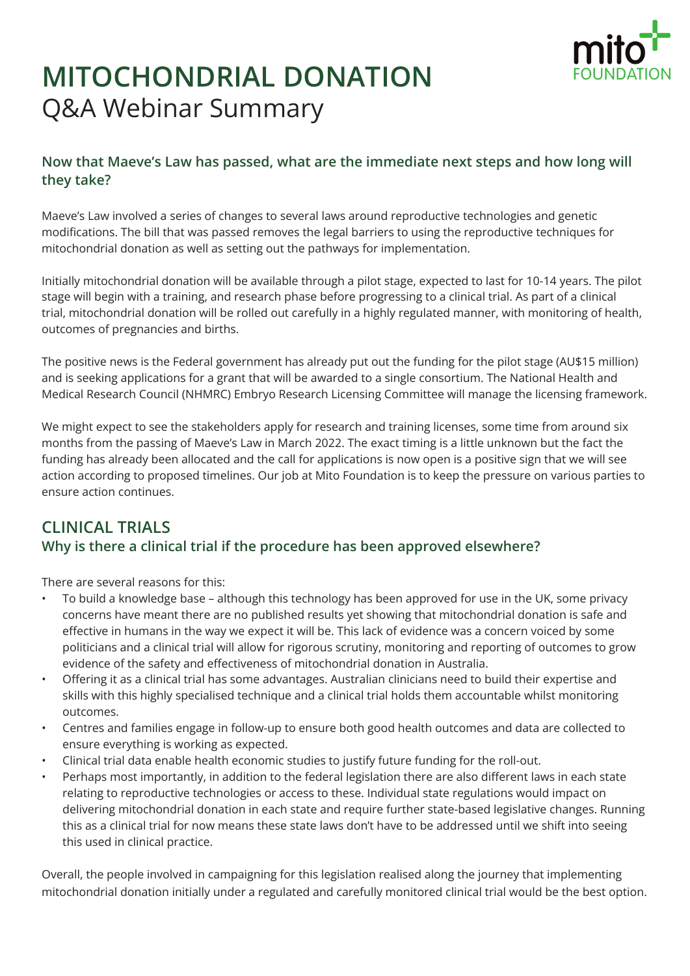

# **MITOCHONDRIAL DONATION Q&A Webinar Summary**

## Now that Maeve's Law has passed, what are the immediate next steps and how long will they take?

Maeve's Law involved a series of changes to several laws around reproductive technologies and genetic modifications. The bill that was passed removes the legal barriers to using the reproductive techniques for mitochondrial donation as well as setting out the pathways for implementation.

Initially mitochondrial donation will be available through a pilot stage, expected to last for 10-14 years. The pilot stage will begin with a training, and research phase before progressing to a clinical trial. As part of a clinical trial, mitochondrial donation will be rolled out carefully in a highly regulated manner, with monitoring of health, outcomes of pregnancies and births.

The positive news is the Federal government has already put out the funding for the pilot stage (AU\$15 million) and is seeking applications for a grant that will be awarded to a single consortium. The National Health and Medical Research Council (NHMRC) Embryo Research Licensing Committee will manage the licensing framework.

We might expect to see the stakeholders apply for research and training licenses, some time from around six months from the passing of Maeve's Law in March 2022. The exact timing is a little unknown but the fact the funding has already been allocated and the call for applications is now open is a positive sign that we will see action according to proposed timelines. Our job at Mito Foundation is to keep the pressure on various parties to ensure action continues.

# CLINICAL TRIALS Why is there a clinical trial if the procedure has been approved elsewhere?

There are several reasons for this:

- To build a knowledge base although this technology has been approved for use in the UK, some privacy concerns have meant there are no published results yet showing that mitochondrial donation is safe and effective in humans in the way we expect it will be. This lack of evidence was a concern voiced by some politicians and a clinical trial will allow for rigorous scrutiny, monitoring and reporting of outcomes to grow evidence of the safety and effectiveness of mitochondrial donation in Australia.
- Offering it as a clinical trial has some advantages. Australian clinicians need to build their expertise and skills with this highly specialised technique and a clinical trial holds them accountable whilst monitoring outcomes.
- Centres and families engage in follow-up to ensure both good health outcomes and data are collected to ensure everything is working as expected.
- Clinical trial data enable health economic studies to justify future funding for the roll-out.
- Perhaps most importantly, in addition to the federal legislation there are also different laws in each state relating to reproductive technologies or access to these. Individual state regulations would impact on delivering mitochondrial donation in each state and require further state-based legislative changes. Running this as a clinical trial for now means these state laws don't have to be addressed until we shift into seeing this used in clinical practice.

Overall, the people involved in campaigning for this legislation realised along the journey that implementing mitochondrial donation initially under a regulated and carefully monitored clinical trial would be the best option.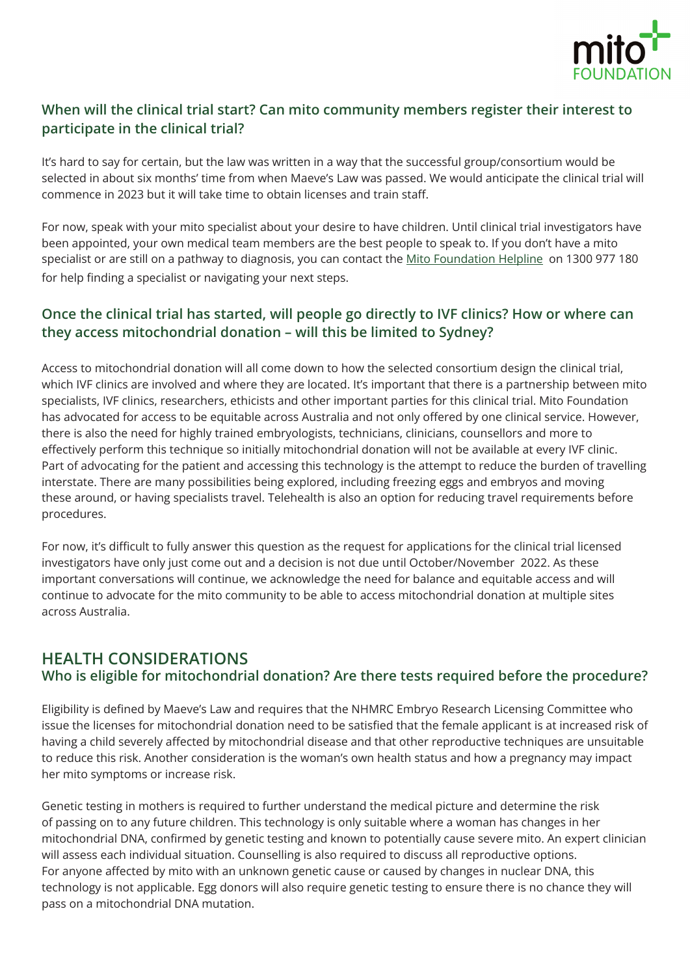

## When will the clinical trial start? Can mito community members register their interest to participate in the clinical trial?

It's hard to say for certain, but the law was written in a way that the successful group/consortium would be selected in about six months' time from when Maeve's Law was passed. We would anticipate the clinical trial will commence in 2023 but it will take time to obtain licenses and train staff.

For now, speak with your mito specialist about your desire to have children. Until clinical trial investigators have been appointed, your own medical team members are the best people to speak to. If you don't have a mito specialist or are still on a pathway to diagnosis, you can contact the [Mito Foundation Helpline](https://www.mito.org.au/helpline/) on 1300 977 180 for help finding a specialist or navigating your next steps.

## Once the clinical trial has started, will people go directly to IVF clinics? How or where can they access mitochondrial donation – will this be limited to Sydney?

Access to mitochondrial donation will all come down to how the selected consortium design the clinical trial, which IVF clinics are involved and where they are located. It's important that there is a partnership between mito specialists, IVF clinics, researchers, ethicists and other important parties for this clinical trial. Mito Foundation has advocated for access to be equitable across Australia and not only offered by one clinical service. However, there is also the need for highly trained embryologists, technicians, clinicians, counsellors and more to effectively perform this technique so initially mitochondrial donation will not be available at every IVF clinic. Part of advocating for the patient and accessing this technology is the attempt to reduce the burden of travelling interstate. There are many possibilities being explored, including freezing eggs and embryos and moving these around, or having specialists travel. Telehealth is also an option for reducing travel requirements before procedures.

For now, it's difficult to fully answer this question as the request for applications for the clinical trial licensed investigators have only just come out and a decision is not due until October/November 2022. As these important conversations will continue, we acknowledge the need for balance and equitable access and will continue to advocate for the mito community to be able to access mitochondrial donation at multiple sites across Australia.

## HEALTH CONSIDERATIONS Who is eligible for mitochondrial donation? Are there tests required before the procedure?

Eligibility is defined by Maeve's Law and requires that the NHMRC Embryo Research Licensing Committee who issue the licenses for mitochondrial donation need to be satisfied that the female applicant is at increased risk of having a child severely affected by mitochondrial disease and that other reproductive techniques are unsuitable to reduce this risk. Another consideration is the woman's own health status and how a pregnancy may impact her mito symptoms or increase risk.

Genetic testing in mothers is required to further understand the medical picture and determine the risk of passing on to any future children. This technology is only suitable where a woman has changes in her mitochondrial DNA, confirmed by genetic testing and known to potentially cause severe mito. An expert clinician will assess each individual situation. Counselling is also required to discuss all reproductive options. For anyone affected by mito with an unknown genetic cause or caused by changes in nuclear DNA, this technology is not applicable. Egg donors will also require genetic testing to ensure there is no chance they will pass on a mitochondrial DNA mutation.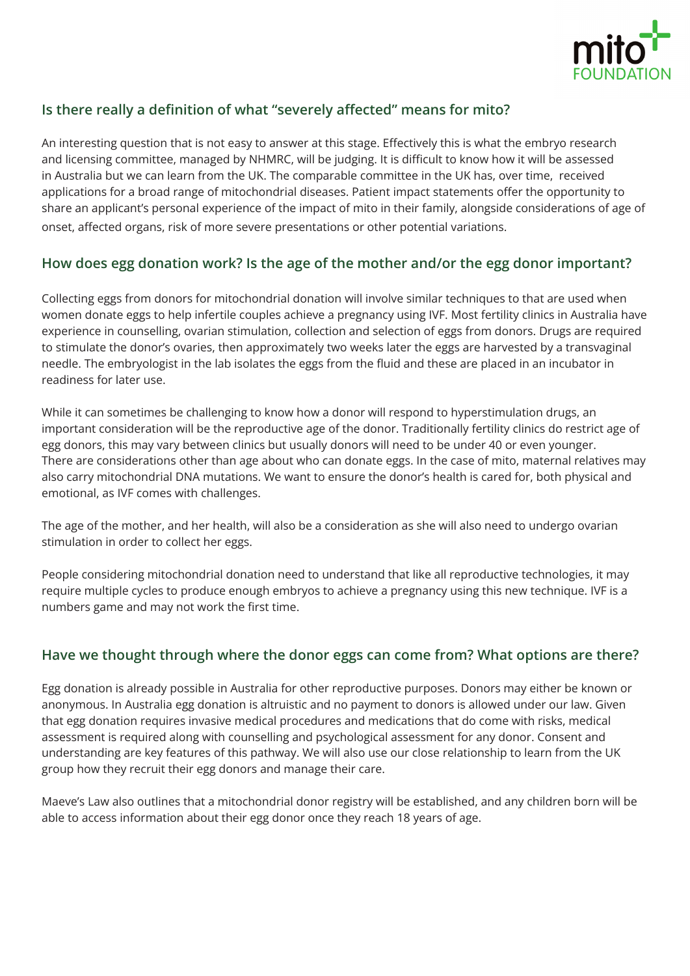

#### Is there really a definition of what "severely affected" means for mito?

An interesting question that is not easy to answer at this stage. Effectively this is what the embryo research and licensing committee, managed by NHMRC, will be judging. It is difficult to know how it will be assessed in Australia but we can learn from the UK. The comparable committee in the UK has, over time, received applications for a broad range of mitochondrial diseases. Patient impact statements offer the opportunity to share an applicant's personal experience of the impact of mito in their family, alongside considerations of age of onset, affected organs, risk of more severe presentations or other potential variations.

#### How does egg donation work? Is the age of the mother and/or the egg donor important?

Collecting eggs from donors for mitochondrial donation will involve similar techniques to that are used when women donate eggs to help infertile couples achieve a pregnancy using IVF. Most fertility clinics in Australia have experience in counselling, ovarian stimulation, collection and selection of eggs from donors. Drugs are required to stimulate the donor's ovaries, then approximately two weeks later the eggs are harvested by a transvaginal needle. The embryologist in the lab isolates the eggs from the fluid and these are placed in an incubator in readiness for later use.

While it can sometimes be challenging to know how a donor will respond to hyperstimulation drugs, an important consideration will be the reproductive age of the donor. Traditionally fertility clinics do restrict age of egg donors, this may vary between clinics but usually donors will need to be under 40 or even younger. There are considerations other than age about who can donate eggs. In the case of mito, maternal relatives may also carry mitochondrial DNA mutations. We want to ensure the donor's health is cared for, both physical and emotional, as IVF comes with challenges.

The age of the mother, and her health, will also be a consideration as she will also need to undergo ovarian stimulation in order to collect her eggs.

People considering mitochondrial donation need to understand that like all reproductive technologies, it may require multiple cycles to produce enough embryos to achieve a pregnancy using this new technique. IVF is a numbers game and may not work the first time.

#### Have we thought through where the donor eggs can come from? What options are there?

Egg donation is already possible in Australia for other reproductive purposes. Donors may either be known or anonymous. In Australia egg donation is altruistic and no payment to donors is allowed under our law. Given that egg donation requires invasive medical procedures and medications that do come with risks, medical assessment is required along with counselling and psychological assessment for any donor. Consent and understanding are key features of this pathway. We will also use our close relationship to learn from the UK group how they recruit their egg donors and manage their care.

Maeve's Law also outlines that a mitochondrial donor registry will be established, and any children born will be able to access information about their egg donor once they reach 18 years of age.